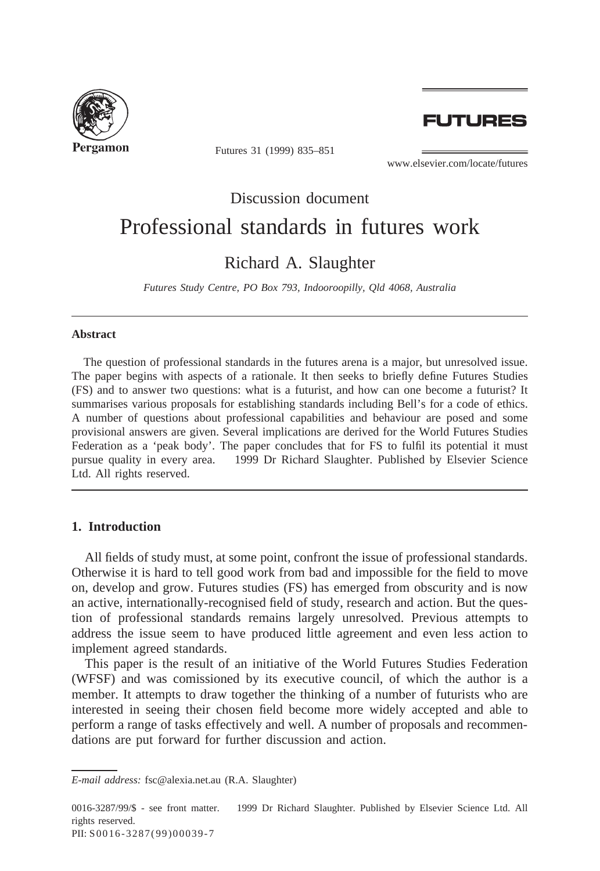

Futures 31 (1999) 835–851



www.elsevier.com/locate/futures

# Discussion document Professional standards in futures work

## Richard A. Slaughter

*Futures Study Centre, PO Box 793, Indooroopilly, Qld 4068, Australia*

## **Abstract**

The question of professional standards in the futures arena is a major, but unresolved issue. The paper begins with aspects of a rationale. It then seeks to briefly define Futures Studies (FS) and to answer two questions: what is a futurist, and how can one become a futurist? It summarises various proposals for establishing standards including Bell's for a code of ethics. A number of questions about professional capabilities and behaviour are posed and some provisional answers are given. Several implications are derived for the World Futures Studies Federation as a 'peak body'. The paper concludes that for FS to fulfil its potential it must pursue quality in every area.  $\odot$  1999 Dr Richard Slaughter. Published by Elsevier Science Ltd. All rights reserved.

## **1. Introduction**

All fields of study must, at some point, confront the issue of professional standards. Otherwise it is hard to tell good work from bad and impossible for the field to move on, develop and grow. Futures studies (FS) has emerged from obscurity and is now an active, internationally-recognised field of study, research and action. But the question of professional standards remains largely unresolved. Previous attempts to address the issue seem to have produced little agreement and even less action to implement agreed standards.

This paper is the result of an initiative of the World Futures Studies Federation (WFSF) and was comissioned by its executive council, of which the author is a member. It attempts to draw together the thinking of a number of futurists who are interested in seeing their chosen field become more widely accepted and able to perform a range of tasks effectively and well. A number of proposals and recommendations are put forward for further discussion and action.

*E-mail address:* fsc@alexia.net.au (R.A. Slaughter)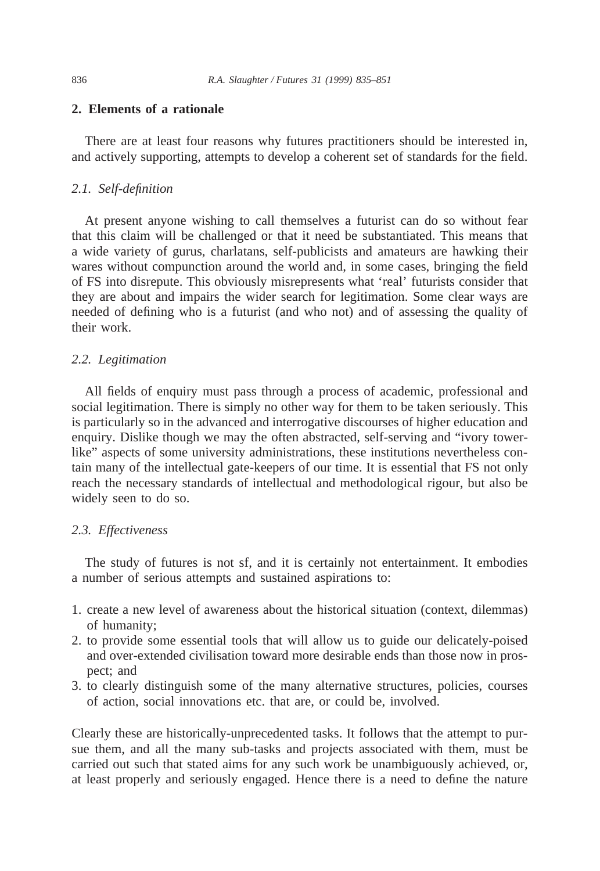## **2. Elements of a rationale**

There are at least four reasons why futures practitioners should be interested in, and actively supporting, attempts to develop a coherent set of standards for the field.

## *2.1. Self-definition*

At present anyone wishing to call themselves a futurist can do so without fear that this claim will be challenged or that it need be substantiated. This means that a wide variety of gurus, charlatans, self-publicists and amateurs are hawking their wares without compunction around the world and, in some cases, bringing the field of FS into disrepute. This obviously misrepresents what 'real' futurists consider that they are about and impairs the wider search for legitimation. Some clear ways are needed of defining who is a futurist (and who not) and of assessing the quality of their work.

## *2.2. Legitimation*

All fields of enquiry must pass through a process of academic, professional and social legitimation. There is simply no other way for them to be taken seriously. This is particularly so in the advanced and interrogative discourses of higher education and enquiry. Dislike though we may the often abstracted, self-serving and "ivory towerlike" aspects of some university administrations, these institutions nevertheless contain many of the intellectual gate-keepers of our time. It is essential that FS not only reach the necessary standards of intellectual and methodological rigour, but also be widely seen to do so.

#### *2.3. Effectiveness*

The study of futures is not sf, and it is certainly not entertainment. It embodies a number of serious attempts and sustained aspirations to:

- 1. create a new level of awareness about the historical situation (context, dilemmas) of humanity;
- 2. to provide some essential tools that will allow us to guide our delicately-poised and over-extended civilisation toward more desirable ends than those now in prospect; and
- 3. to clearly distinguish some of the many alternative structures, policies, courses of action, social innovations etc. that are, or could be, involved.

Clearly these are historically-unprecedented tasks. It follows that the attempt to pursue them, and all the many sub-tasks and projects associated with them, must be carried out such that stated aims for any such work be unambiguously achieved, or, at least properly and seriously engaged. Hence there is a need to define the nature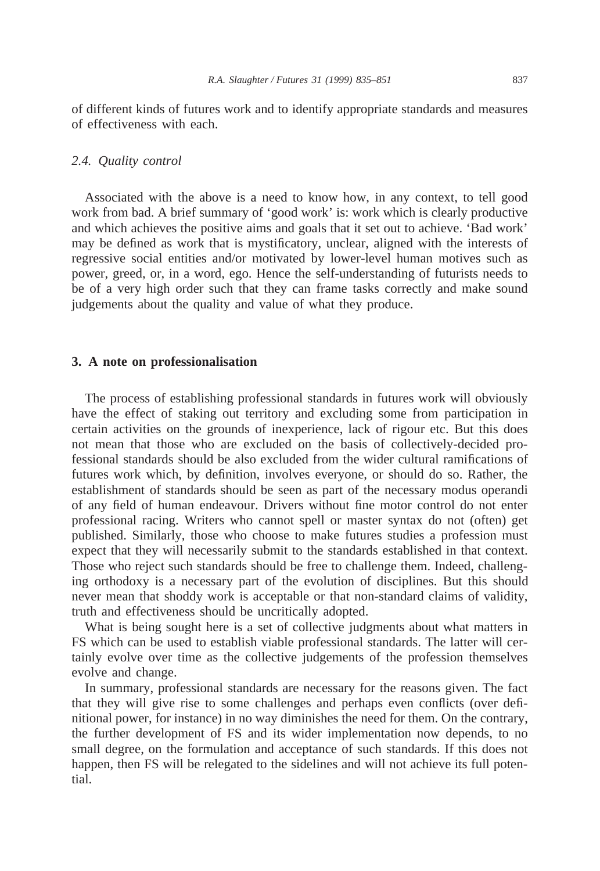of different kinds of futures work and to identify appropriate standards and measures of effectiveness with each.

## *2.4. Quality control*

Associated with the above is a need to know how, in any context, to tell good work from bad. A brief summary of 'good work' is: work which is clearly productive and which achieves the positive aims and goals that it set out to achieve. 'Bad work' may be defined as work that is mystificatory, unclear, aligned with the interests of regressive social entities and/or motivated by lower-level human motives such as power, greed, or, in a word, ego. Hence the self-understanding of futurists needs to be of a very high order such that they can frame tasks correctly and make sound judgements about the quality and value of what they produce.

## **3. A note on professionalisation**

The process of establishing professional standards in futures work will obviously have the effect of staking out territory and excluding some from participation in certain activities on the grounds of inexperience, lack of rigour etc. But this does not mean that those who are excluded on the basis of collectively-decided professional standards should be also excluded from the wider cultural ramifications of futures work which, by definition, involves everyone, or should do so. Rather, the establishment of standards should be seen as part of the necessary modus operandi of any field of human endeavour. Drivers without fine motor control do not enter professional racing. Writers who cannot spell or master syntax do not (often) get published. Similarly, those who choose to make futures studies a profession must expect that they will necessarily submit to the standards established in that context. Those who reject such standards should be free to challenge them. Indeed, challenging orthodoxy is a necessary part of the evolution of disciplines. But this should never mean that shoddy work is acceptable or that non-standard claims of validity, truth and effectiveness should be uncritically adopted.

What is being sought here is a set of collective judgments about what matters in FS which can be used to establish viable professional standards. The latter will certainly evolve over time as the collective judgements of the profession themselves evolve and change.

In summary, professional standards are necessary for the reasons given. The fact that they will give rise to some challenges and perhaps even conflicts (over definitional power, for instance) in no way diminishes the need for them. On the contrary, the further development of FS and its wider implementation now depends, to no small degree, on the formulation and acceptance of such standards. If this does not happen, then FS will be relegated to the sidelines and will not achieve its full potential.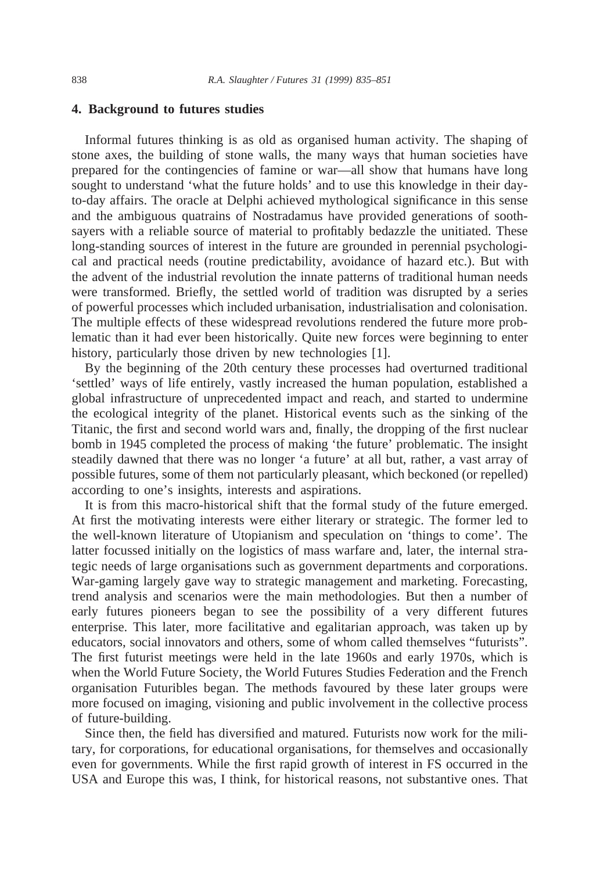#### **4. Background to futures studies**

Informal futures thinking is as old as organised human activity. The shaping of stone axes, the building of stone walls, the many ways that human societies have prepared for the contingencies of famine or war—all show that humans have long sought to understand 'what the future holds' and to use this knowledge in their dayto-day affairs. The oracle at Delphi achieved mythological significance in this sense and the ambiguous quatrains of Nostradamus have provided generations of soothsayers with a reliable source of material to profitably bedazzle the unitiated. These long-standing sources of interest in the future are grounded in perennial psychological and practical needs (routine predictability, avoidance of hazard etc.). But with the advent of the industrial revolution the innate patterns of traditional human needs were transformed. Briefly, the settled world of tradition was disrupted by a series of powerful processes which included urbanisation, industrialisation and colonisation. The multiple effects of these widespread revolutions rendered the future more problematic than it had ever been historically. Quite new forces were beginning to enter history, particularly those driven by new technologies [1].

By the beginning of the 20th century these processes had overturned traditional 'settled' ways of life entirely, vastly increased the human population, established a global infrastructure of unprecedented impact and reach, and started to undermine the ecological integrity of the planet. Historical events such as the sinking of the Titanic, the first and second world wars and, finally, the dropping of the first nuclear bomb in 1945 completed the process of making 'the future' problematic. The insight steadily dawned that there was no longer 'a future' at all but, rather, a vast array of possible futures, some of them not particularly pleasant, which beckoned (or repelled) according to one's insights, interests and aspirations.

It is from this macro-historical shift that the formal study of the future emerged. At first the motivating interests were either literary or strategic. The former led to the well-known literature of Utopianism and speculation on 'things to come'. The latter focussed initially on the logistics of mass warfare and, later, the internal strategic needs of large organisations such as government departments and corporations. War-gaming largely gave way to strategic management and marketing. Forecasting, trend analysis and scenarios were the main methodologies. But then a number of early futures pioneers began to see the possibility of a very different futures enterprise. This later, more facilitative and egalitarian approach, was taken up by educators, social innovators and others, some of whom called themselves "futurists". The first futurist meetings were held in the late 1960s and early 1970s, which is when the World Future Society, the World Futures Studies Federation and the French organisation Futuribles began. The methods favoured by these later groups were more focused on imaging, visioning and public involvement in the collective process of future-building.

Since then, the field has diversified and matured. Futurists now work for the military, for corporations, for educational organisations, for themselves and occasionally even for governments. While the first rapid growth of interest in FS occurred in the USA and Europe this was, I think, for historical reasons, not substantive ones. That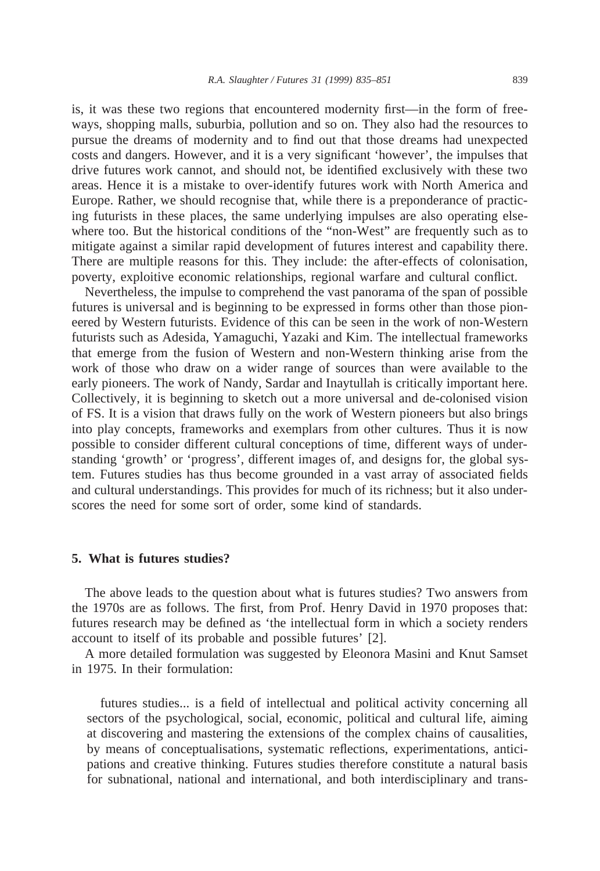is, it was these two regions that encountered modernity first—in the form of freeways, shopping malls, suburbia, pollution and so on. They also had the resources to pursue the dreams of modernity and to find out that those dreams had unexpected costs and dangers. However, and it is a very significant 'however', the impulses that drive futures work cannot, and should not, be identified exclusively with these two areas. Hence it is a mistake to over-identify futures work with North America and Europe. Rather, we should recognise that, while there is a preponderance of practicing futurists in these places, the same underlying impulses are also operating elsewhere too. But the historical conditions of the "non-West" are frequently such as to mitigate against a similar rapid development of futures interest and capability there. There are multiple reasons for this. They include: the after-effects of colonisation, poverty, exploitive economic relationships, regional warfare and cultural conflict.

Nevertheless, the impulse to comprehend the vast panorama of the span of possible futures is universal and is beginning to be expressed in forms other than those pioneered by Western futurists. Evidence of this can be seen in the work of non-Western futurists such as Adesida, Yamaguchi, Yazaki and Kim. The intellectual frameworks that emerge from the fusion of Western and non-Western thinking arise from the work of those who draw on a wider range of sources than were available to the early pioneers. The work of Nandy, Sardar and Inaytullah is critically important here. Collectively, it is beginning to sketch out a more universal and de-colonised vision of FS. It is a vision that draws fully on the work of Western pioneers but also brings into play concepts, frameworks and exemplars from other cultures. Thus it is now possible to consider different cultural conceptions of time, different ways of understanding 'growth' or 'progress', different images of, and designs for, the global system. Futures studies has thus become grounded in a vast array of associated fields and cultural understandings. This provides for much of its richness; but it also underscores the need for some sort of order, some kind of standards.

#### **5. What is futures studies?**

The above leads to the question about what is futures studies? Two answers from the 1970s are as follows. The first, from Prof. Henry David in 1970 proposes that: futures research may be defined as 'the intellectual form in which a society renders account to itself of its probable and possible futures' [2].

A more detailed formulation was suggested by Eleonora Masini and Knut Samset in 1975. In their formulation:

futures studies... is a field of intellectual and political activity concerning all sectors of the psychological, social, economic, political and cultural life, aiming at discovering and mastering the extensions of the complex chains of causalities, by means of conceptualisations, systematic reflections, experimentations, anticipations and creative thinking. Futures studies therefore constitute a natural basis for subnational, national and international, and both interdisciplinary and trans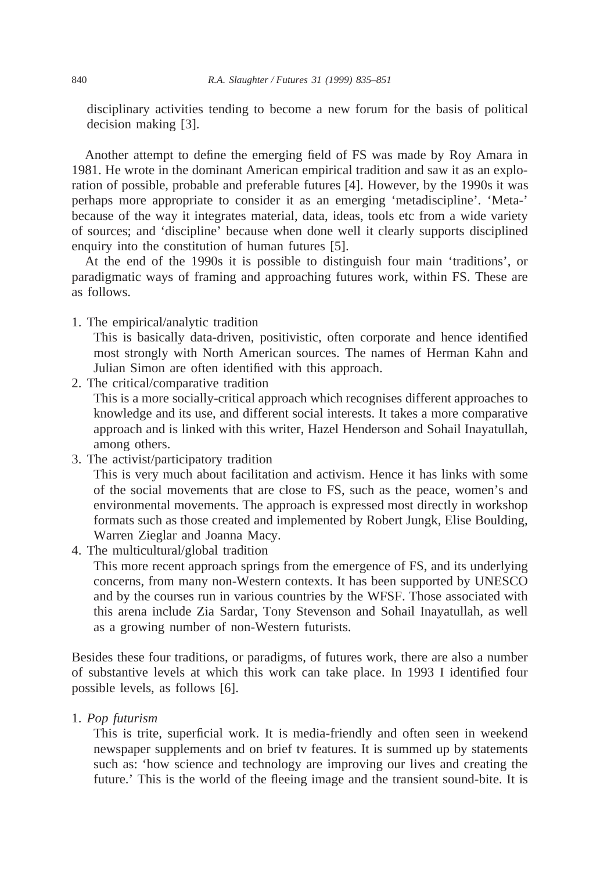disciplinary activities tending to become a new forum for the basis of political decision making [3].

Another attempt to define the emerging field of FS was made by Roy Amara in 1981. He wrote in the dominant American empirical tradition and saw it as an exploration of possible, probable and preferable futures [4]. However, by the 1990s it was perhaps more appropriate to consider it as an emerging 'metadiscipline'. 'Meta-' because of the way it integrates material, data, ideas, tools etc from a wide variety of sources; and 'discipline' because when done well it clearly supports disciplined enquiry into the constitution of human futures [5].

At the end of the 1990s it is possible to distinguish four main 'traditions', or paradigmatic ways of framing and approaching futures work, within FS. These are as follows.

1. The empirical/analytic tradition

This is basically data-driven, positivistic, often corporate and hence identified most strongly with North American sources. The names of Herman Kahn and Julian Simon are often identified with this approach.

2. The critical/comparative tradition

This is a more socially-critical approach which recognises different approaches to knowledge and its use, and different social interests. It takes a more comparative approach and is linked with this writer, Hazel Henderson and Sohail Inayatullah, among others.

3. The activist/participatory tradition

This is very much about facilitation and activism. Hence it has links with some of the social movements that are close to FS, such as the peace, women's and environmental movements. The approach is expressed most directly in workshop formats such as those created and implemented by Robert Jungk, Elise Boulding, Warren Zieglar and Joanna Macy.

4. The multicultural/global tradition

This more recent approach springs from the emergence of FS, and its underlying concerns, from many non-Western contexts. It has been supported by UNESCO and by the courses run in various countries by the WFSF. Those associated with this arena include Zia Sardar, Tony Stevenson and Sohail Inayatullah, as well as a growing number of non-Western futurists.

Besides these four traditions, or paradigms, of futures work, there are also a number of substantive levels at which this work can take place. In 1993 I identified four possible levels, as follows [6].

1. *Pop futurism*

This is trite, superficial work. It is media-friendly and often seen in weekend newspaper supplements and on brief tv features. It is summed up by statements such as: 'how science and technology are improving our lives and creating the future.' This is the world of the fleeing image and the transient sound-bite. It is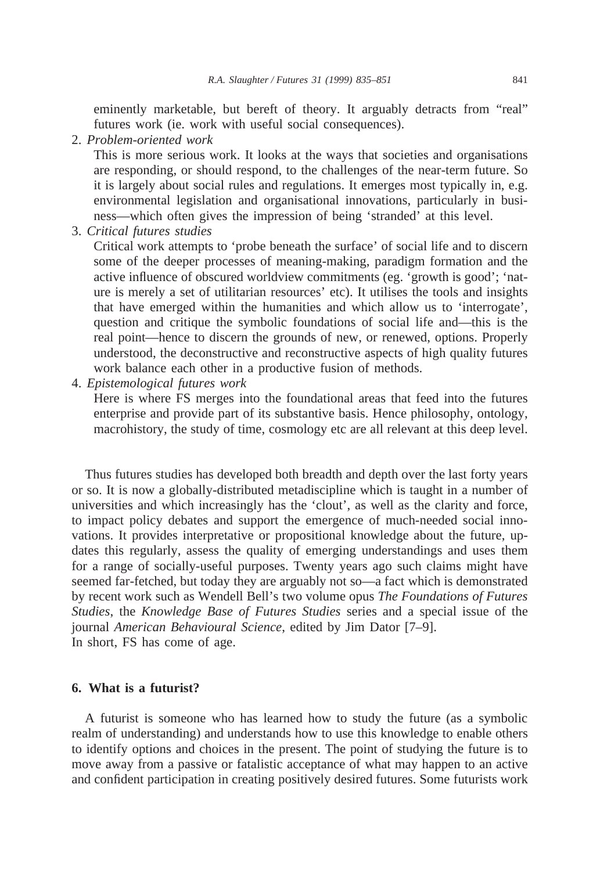eminently marketable, but bereft of theory. It arguably detracts from "real" futures work (ie. work with useful social consequences).

2. *Problem-oriented work*

This is more serious work. It looks at the ways that societies and organisations are responding, or should respond, to the challenges of the near-term future. So it is largely about social rules and regulations. It emerges most typically in, e.g. environmental legislation and organisational innovations, particularly in business—which often gives the impression of being 'stranded' at this level.

3. *Critical futures studies*

Critical work attempts to 'probe beneath the surface' of social life and to discern some of the deeper processes of meaning-making, paradigm formation and the active influence of obscured worldview commitments (eg. 'growth is good'; 'nature is merely a set of utilitarian resources' etc). It utilises the tools and insights that have emerged within the humanities and which allow us to 'interrogate', question and critique the symbolic foundations of social life and—this is the real point—hence to discern the grounds of new, or renewed, options. Properly understood, the deconstructive and reconstructive aspects of high quality futures work balance each other in a productive fusion of methods.

4. *Epistemological futures work*

Here is where FS merges into the foundational areas that feed into the futures enterprise and provide part of its substantive basis. Hence philosophy, ontology, macrohistory, the study of time, cosmology etc are all relevant at this deep level.

Thus futures studies has developed both breadth and depth over the last forty years or so. It is now a globally-distributed metadiscipline which is taught in a number of universities and which increasingly has the 'clout', as well as the clarity and force, to impact policy debates and support the emergence of much-needed social innovations. It provides interpretative or propositional knowledge about the future, updates this regularly, assess the quality of emerging understandings and uses them for a range of socially-useful purposes. Twenty years ago such claims might have seemed far-fetched, but today they are arguably not so—a fact which is demonstrated by recent work such as Wendell Bell's two volume opus *The Foundations of Futures Studies*, the *Knowledge Base of Futures Studies* series and a special issue of the journal *American Behavioural Science*, edited by Jim Dator [7–9]. In short, FS has come of age.

## **6. What is a futurist?**

A futurist is someone who has learned how to study the future (as a symbolic realm of understanding) and understands how to use this knowledge to enable others to identify options and choices in the present. The point of studying the future is to move away from a passive or fatalistic acceptance of what may happen to an active and confident participation in creating positively desired futures. Some futurists work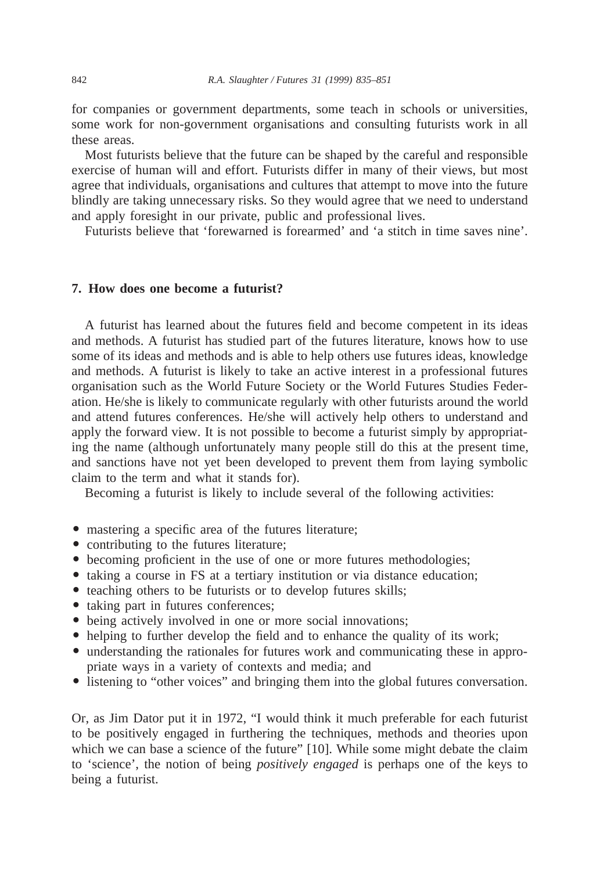for companies or government departments, some teach in schools or universities, some work for non-government organisations and consulting futurists work in all these areas.

Most futurists believe that the future can be shaped by the careful and responsible exercise of human will and effort. Futurists differ in many of their views, but most agree that individuals, organisations and cultures that attempt to move into the future blindly are taking unnecessary risks. So they would agree that we need to understand and apply foresight in our private, public and professional lives.

Futurists believe that 'forewarned is forearmed' and 'a stitch in time saves nine'.

## **7. How does one become a futurist?**

A futurist has learned about the futures field and become competent in its ideas and methods. A futurist has studied part of the futures literature, knows how to use some of its ideas and methods and is able to help others use futures ideas, knowledge and methods. A futurist is likely to take an active interest in a professional futures organisation such as the World Future Society or the World Futures Studies Federation. He/she is likely to communicate regularly with other futurists around the world and attend futures conferences. He/she will actively help others to understand and apply the forward view. It is not possible to become a futurist simply by appropriating the name (although unfortunately many people still do this at the present time, and sanctions have not yet been developed to prevent them from laying symbolic claim to the term and what it stands for).

Becoming a futurist is likely to include several of the following activities:

- mastering a specific area of the futures literature;
- contributing to the futures literature;
- becoming proficient in the use of one or more futures methodologies;
- O taking a course in FS at a tertiary institution or via distance education;
- $\bullet$  teaching others to be futurists or to develop futures skills;
- taking part in futures conferences;
- being actively involved in one or more social innovations;
- helping to further develop the field and to enhance the quality of its work;
- O understanding the rationales for futures work and communicating these in appropriate ways in a variety of contexts and media; and
- listening to "other voices" and bringing them into the global futures conversation.

Or, as Jim Dator put it in 1972, "I would think it much preferable for each futurist to be positively engaged in furthering the techniques, methods and theories upon which we can base a science of the future" [10]. While some might debate the claim to 'science', the notion of being *positively engaged* is perhaps one of the keys to being a futurist.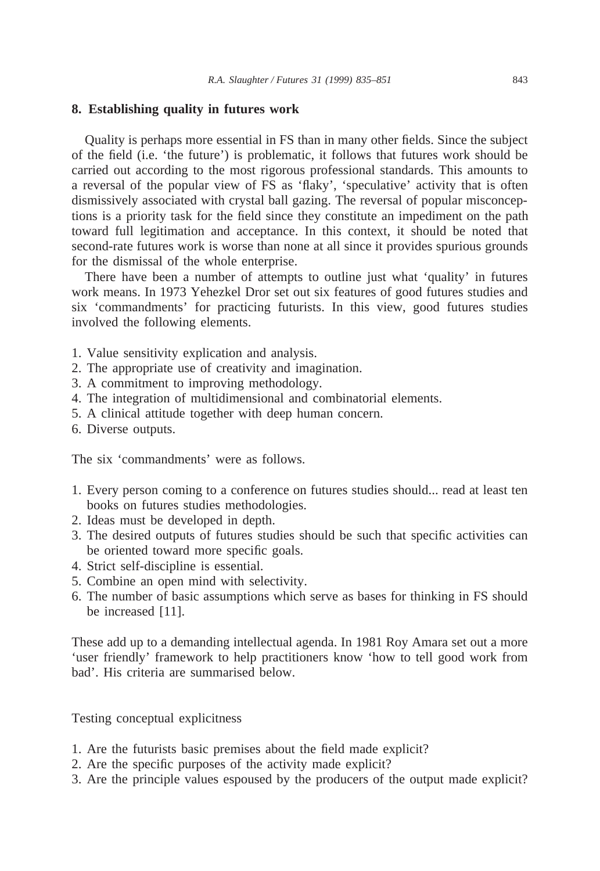## **8. Establishing quality in futures work**

Quality is perhaps more essential in FS than in many other fields. Since the subject of the field (i.e. 'the future') is problematic, it follows that futures work should be carried out according to the most rigorous professional standards. This amounts to a reversal of the popular view of FS as 'flaky', 'speculative' activity that is often dismissively associated with crystal ball gazing. The reversal of popular misconceptions is a priority task for the field since they constitute an impediment on the path toward full legitimation and acceptance. In this context, it should be noted that second-rate futures work is worse than none at all since it provides spurious grounds for the dismissal of the whole enterprise.

There have been a number of attempts to outline just what 'quality' in futures work means. In 1973 Yehezkel Dror set out six features of good futures studies and six 'commandments' for practicing futurists. In this view, good futures studies involved the following elements.

- 1. Value sensitivity explication and analysis.
- 2. The appropriate use of creativity and imagination.
- 3. A commitment to improving methodology.
- 4. The integration of multidimensional and combinatorial elements.
- 5. A clinical attitude together with deep human concern.
- 6. Diverse outputs.

The six 'commandments' were as follows.

- 1. Every person coming to a conference on futures studies should... read at least ten books on futures studies methodologies.
- 2. Ideas must be developed in depth.
- 3. The desired outputs of futures studies should be such that specific activities can be oriented toward more specific goals.
- 4. Strict self-discipline is essential.
- 5. Combine an open mind with selectivity.
- 6. The number of basic assumptions which serve as bases for thinking in FS should be increased [11].

These add up to a demanding intellectual agenda. In 1981 Roy Amara set out a more 'user friendly' framework to help practitioners know 'how to tell good work from bad'. His criteria are summarised below.

Testing conceptual explicitness

- 1. Are the futurists basic premises about the field made explicit?
- 2. Are the specific purposes of the activity made explicit?
- 3. Are the principle values espoused by the producers of the output made explicit?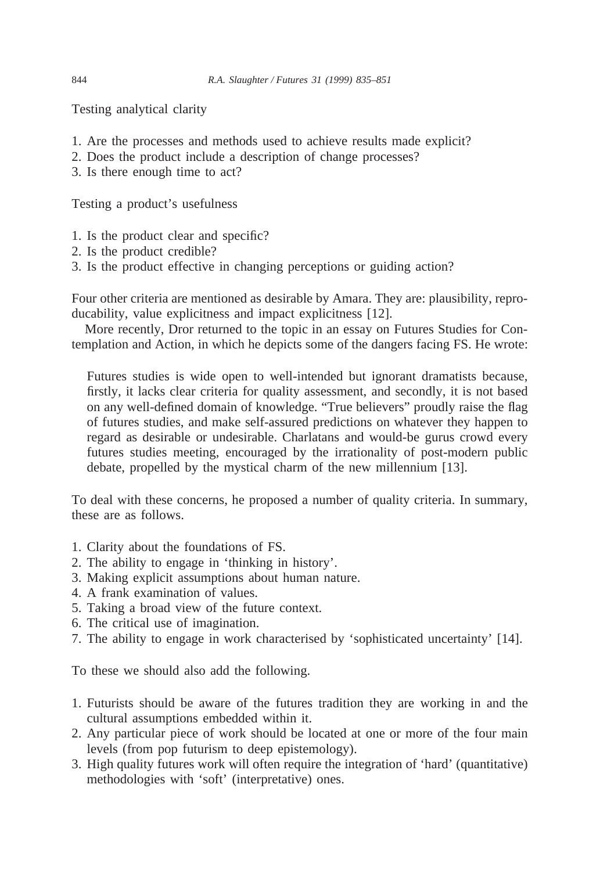Testing analytical clarity

- 1. Are the processes and methods used to achieve results made explicit?
- 2. Does the product include a description of change processes?
- 3. Is there enough time to act?

Testing a product's usefulness

- 1. Is the product clear and specific?
- 2. Is the product credible?
- 3. Is the product effective in changing perceptions or guiding action?

Four other criteria are mentioned as desirable by Amara. They are: plausibility, reproducability, value explicitness and impact explicitness [12].

More recently, Dror returned to the topic in an essay on Futures Studies for Contemplation and Action, in which he depicts some of the dangers facing FS. He wrote:

Futures studies is wide open to well-intended but ignorant dramatists because, firstly, it lacks clear criteria for quality assessment, and secondly, it is not based on any well-defined domain of knowledge. "True believers" proudly raise the flag of futures studies, and make self-assured predictions on whatever they happen to regard as desirable or undesirable. Charlatans and would-be gurus crowd every futures studies meeting, encouraged by the irrationality of post-modern public debate, propelled by the mystical charm of the new millennium [13].

To deal with these concerns, he proposed a number of quality criteria. In summary, these are as follows.

- 1. Clarity about the foundations of FS.
- 2. The ability to engage in 'thinking in history'.
- 3. Making explicit assumptions about human nature.
- 4. A frank examination of values.
- 5. Taking a broad view of the future context.
- 6. The critical use of imagination.
- 7. The ability to engage in work characterised by 'sophisticated uncertainty' [14].

To these we should also add the following.

- 1. Futurists should be aware of the futures tradition they are working in and the cultural assumptions embedded within it.
- 2. Any particular piece of work should be located at one or more of the four main levels (from pop futurism to deep epistemology).
- 3. High quality futures work will often require the integration of 'hard' (quantitative) methodologies with 'soft' (interpretative) ones.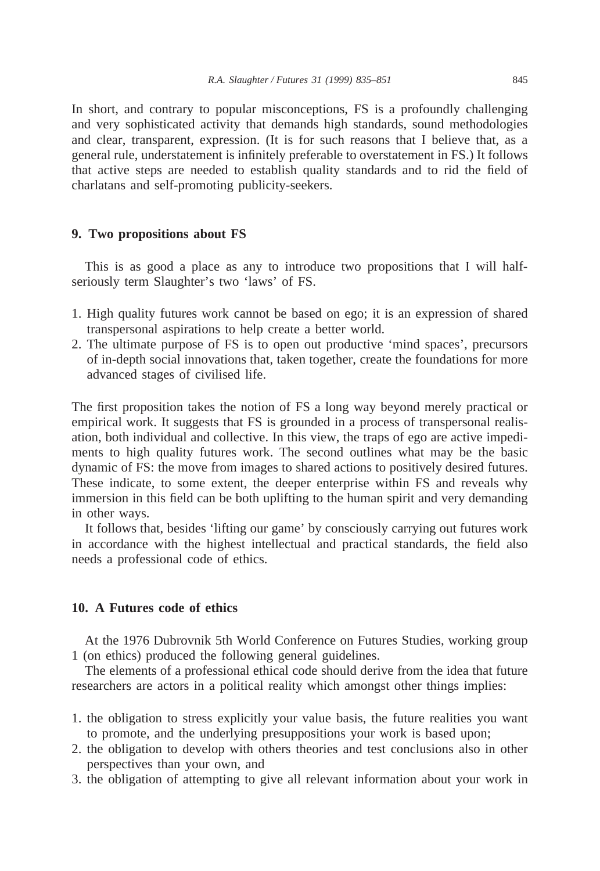In short, and contrary to popular misconceptions, FS is a profoundly challenging and very sophisticated activity that demands high standards, sound methodologies and clear, transparent, expression. (It is for such reasons that I believe that, as a general rule, understatement is infinitely preferable to overstatement in FS.) It follows that active steps are needed to establish quality standards and to rid the field of charlatans and self-promoting publicity-seekers.

## **9. Two propositions about FS**

This is as good a place as any to introduce two propositions that I will halfseriously term Slaughter's two 'laws' of FS.

- 1. High quality futures work cannot be based on ego; it is an expression of shared transpersonal aspirations to help create a better world.
- 2. The ultimate purpose of FS is to open out productive 'mind spaces', precursors of in-depth social innovations that, taken together, create the foundations for more advanced stages of civilised life.

The first proposition takes the notion of FS a long way beyond merely practical or empirical work. It suggests that FS is grounded in a process of transpersonal realisation, both individual and collective. In this view, the traps of ego are active impediments to high quality futures work. The second outlines what may be the basic dynamic of FS: the move from images to shared actions to positively desired futures. These indicate, to some extent, the deeper enterprise within FS and reveals why immersion in this field can be both uplifting to the human spirit and very demanding in other ways.

It follows that, besides 'lifting our game' by consciously carrying out futures work in accordance with the highest intellectual and practical standards, the field also needs a professional code of ethics.

## **10. A Futures code of ethics**

At the 1976 Dubrovnik 5th World Conference on Futures Studies, working group 1 (on ethics) produced the following general guidelines.

The elements of a professional ethical code should derive from the idea that future researchers are actors in a political reality which amongst other things implies:

- 1. the obligation to stress explicitly your value basis, the future realities you want to promote, and the underlying presuppositions your work is based upon;
- 2. the obligation to develop with others theories and test conclusions also in other perspectives than your own, and
- 3. the obligation of attempting to give all relevant information about your work in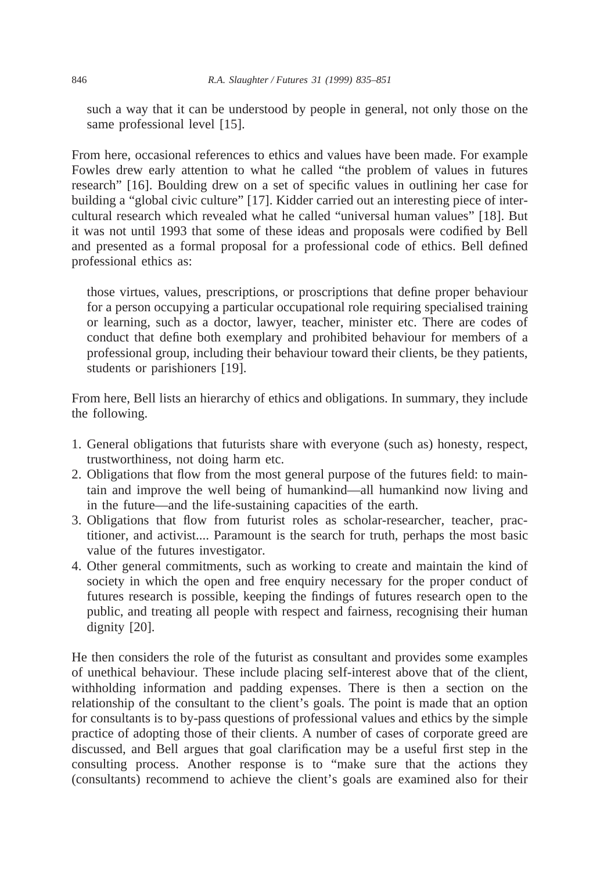such a way that it can be understood by people in general, not only those on the same professional level [15].

From here, occasional references to ethics and values have been made. For example Fowles drew early attention to what he called "the problem of values in futures research" [16]. Boulding drew on a set of specific values in outlining her case for building a "global civic culture" [17]. Kidder carried out an interesting piece of intercultural research which revealed what he called "universal human values" [18]. But it was not until 1993 that some of these ideas and proposals were codified by Bell and presented as a formal proposal for a professional code of ethics. Bell defined professional ethics as:

those virtues, values, prescriptions, or proscriptions that define proper behaviour for a person occupying a particular occupational role requiring specialised training or learning, such as a doctor, lawyer, teacher, minister etc. There are codes of conduct that define both exemplary and prohibited behaviour for members of a professional group, including their behaviour toward their clients, be they patients, students or parishioners [19].

From here, Bell lists an hierarchy of ethics and obligations. In summary, they include the following.

- 1. General obligations that futurists share with everyone (such as) honesty, respect, trustworthiness, not doing harm etc.
- 2. Obligations that flow from the most general purpose of the futures field: to maintain and improve the well being of humankind—all humankind now living and in the future—and the life-sustaining capacities of the earth.
- 3. Obligations that flow from futurist roles as scholar-researcher, teacher, practitioner, and activist.... Paramount is the search for truth, perhaps the most basic value of the futures investigator.
- 4. Other general commitments, such as working to create and maintain the kind of society in which the open and free enquiry necessary for the proper conduct of futures research is possible, keeping the findings of futures research open to the public, and treating all people with respect and fairness, recognising their human dignity [20].

He then considers the role of the futurist as consultant and provides some examples of unethical behaviour. These include placing self-interest above that of the client, withholding information and padding expenses. There is then a section on the relationship of the consultant to the client's goals. The point is made that an option for consultants is to by-pass questions of professional values and ethics by the simple practice of adopting those of their clients. A number of cases of corporate greed are discussed, and Bell argues that goal clarification may be a useful first step in the consulting process. Another response is to "make sure that the actions they (consultants) recommend to achieve the client's goals are examined also for their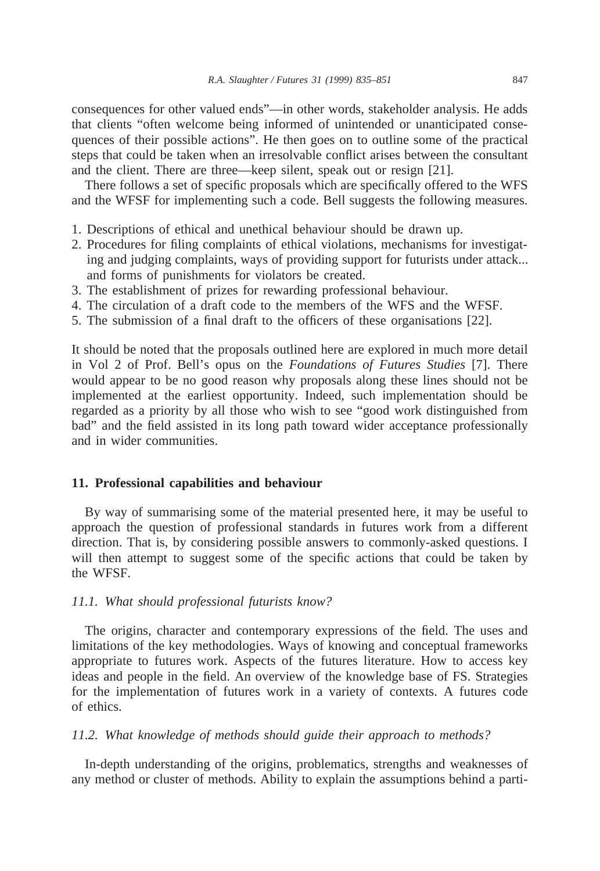consequences for other valued ends"—in other words, stakeholder analysis. He adds that clients "often welcome being informed of unintended or unanticipated consequences of their possible actions". He then goes on to outline some of the practical steps that could be taken when an irresolvable conflict arises between the consultant and the client. There are three—keep silent, speak out or resign [21].

There follows a set of specific proposals which are specifically offered to the WFS and the WFSF for implementing such a code. Bell suggests the following measures.

- 1. Descriptions of ethical and unethical behaviour should be drawn up.
- 2. Procedures for filing complaints of ethical violations, mechanisms for investigating and judging complaints, ways of providing support for futurists under attack... and forms of punishments for violators be created.
- 3. The establishment of prizes for rewarding professional behaviour.
- 4. The circulation of a draft code to the members of the WFS and the WFSF.
- 5. The submission of a final draft to the officers of these organisations [22].

It should be noted that the proposals outlined here are explored in much more detail in Vol 2 of Prof. Bell's opus on the *Foundations of Futures Studies* [7]. There would appear to be no good reason why proposals along these lines should not be implemented at the earliest opportunity. Indeed, such implementation should be regarded as a priority by all those who wish to see "good work distinguished from bad" and the field assisted in its long path toward wider acceptance professionally and in wider communities.

## **11. Professional capabilities and behaviour**

By way of summarising some of the material presented here, it may be useful to approach the question of professional standards in futures work from a different direction. That is, by considering possible answers to commonly-asked questions. I will then attempt to suggest some of the specific actions that could be taken by the WFSF.

## *11.1. What should professional futurists know?*

The origins, character and contemporary expressions of the field. The uses and limitations of the key methodologies. Ways of knowing and conceptual frameworks appropriate to futures work. Aspects of the futures literature. How to access key ideas and people in the field. An overview of the knowledge base of FS. Strategies for the implementation of futures work in a variety of contexts. A futures code of ethics.

### *11.2. What knowledge of methods should guide their approach to methods?*

In-depth understanding of the origins, problematics, strengths and weaknesses of any method or cluster of methods. Ability to explain the assumptions behind a parti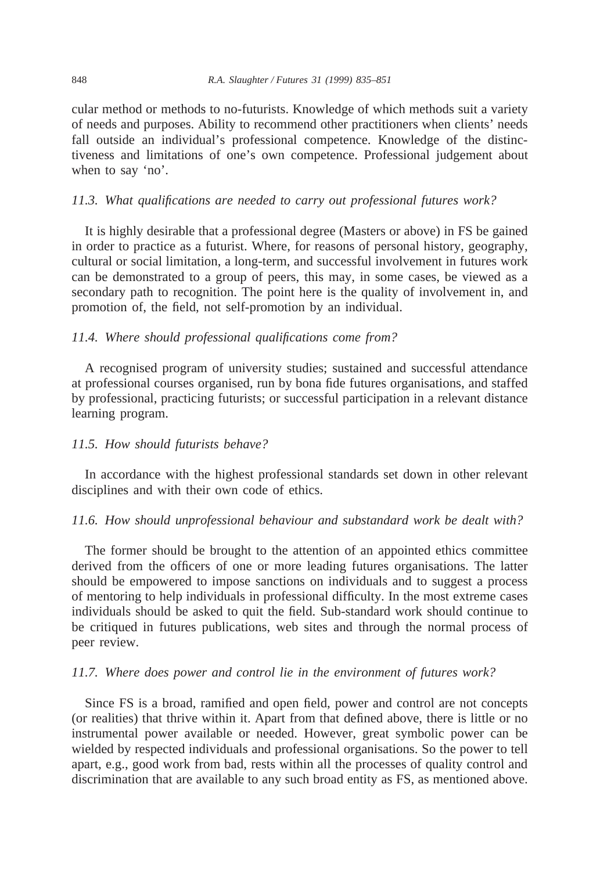cular method or methods to no-futurists. Knowledge of which methods suit a variety of needs and purposes. Ability to recommend other practitioners when clients' needs fall outside an individual's professional competence. Knowledge of the distinctiveness and limitations of one's own competence. Professional judgement about when to say 'no'.

## *11.3. What qualifications are needed to carry out professional futures work?*

It is highly desirable that a professional degree (Masters or above) in FS be gained in order to practice as a futurist. Where, for reasons of personal history, geography, cultural or social limitation, a long-term, and successful involvement in futures work can be demonstrated to a group of peers, this may, in some cases, be viewed as a secondary path to recognition. The point here is the quality of involvement in, and promotion of, the field, not self-promotion by an individual.

## *11.4. Where should professional qualifications come from?*

A recognised program of university studies; sustained and successful attendance at professional courses organised, run by bona fide futures organisations, and staffed by professional, practicing futurists; or successful participation in a relevant distance learning program.

### *11.5. How should futurists behave?*

In accordance with the highest professional standards set down in other relevant disciplines and with their own code of ethics.

## *11.6. How should unprofessional behaviour and substandard work be dealt with?*

The former should be brought to the attention of an appointed ethics committee derived from the officers of one or more leading futures organisations. The latter should be empowered to impose sanctions on individuals and to suggest a process of mentoring to help individuals in professional difficulty. In the most extreme cases individuals should be asked to quit the field. Sub-standard work should continue to be critiqued in futures publications, web sites and through the normal process of peer review.

## *11.7. Where does power and control lie in the environment of futures work?*

Since FS is a broad, ramified and open field, power and control are not concepts (or realities) that thrive within it. Apart from that defined above, there is little or no instrumental power available or needed. However, great symbolic power can be wielded by respected individuals and professional organisations. So the power to tell apart, e.g., good work from bad, rests within all the processes of quality control and discrimination that are available to any such broad entity as FS, as mentioned above.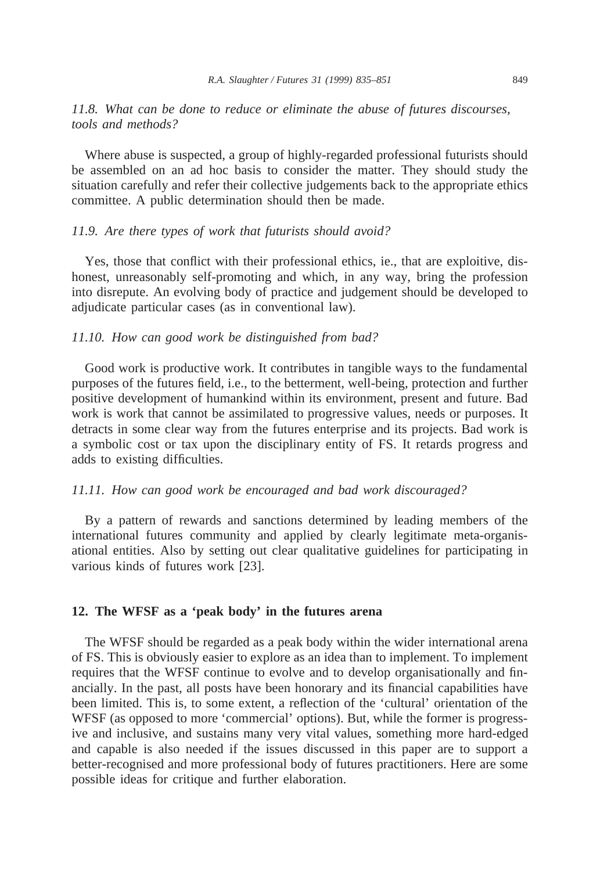## *11.8. What can be done to reduce or eliminate the abuse of futures discourses, tools and methods?*

Where abuse is suspected, a group of highly-regarded professional futurists should be assembled on an ad hoc basis to consider the matter. They should study the situation carefully and refer their collective judgements back to the appropriate ethics committee. A public determination should then be made.

## *11.9. Are there types of work that futurists should avoid?*

Yes, those that conflict with their professional ethics, ie., that are exploitive, dishonest, unreasonably self-promoting and which, in any way, bring the profession into disrepute. An evolving body of practice and judgement should be developed to adjudicate particular cases (as in conventional law).

## *11.10. How can good work be distinguished from bad?*

Good work is productive work. It contributes in tangible ways to the fundamental purposes of the futures field, i.e., to the betterment, well-being, protection and further positive development of humankind within its environment, present and future. Bad work is work that cannot be assimilated to progressive values, needs or purposes. It detracts in some clear way from the futures enterprise and its projects. Bad work is a symbolic cost or tax upon the disciplinary entity of FS. It retards progress and adds to existing difficulties.

## *11.11. How can good work be encouraged and bad work discouraged?*

By a pattern of rewards and sanctions determined by leading members of the international futures community and applied by clearly legitimate meta-organisational entities. Also by setting out clear qualitative guidelines for participating in various kinds of futures work [23].

## **12. The WFSF as a 'peak body' in the futures arena**

The WFSF should be regarded as a peak body within the wider international arena of FS. This is obviously easier to explore as an idea than to implement. To implement requires that the WFSF continue to evolve and to develop organisationally and financially. In the past, all posts have been honorary and its financial capabilities have been limited. This is, to some extent, a reflection of the 'cultural' orientation of the WFSF (as opposed to more 'commercial' options). But, while the former is progressive and inclusive, and sustains many very vital values, something more hard-edged and capable is also needed if the issues discussed in this paper are to support a better-recognised and more professional body of futures practitioners. Here are some possible ideas for critique and further elaboration.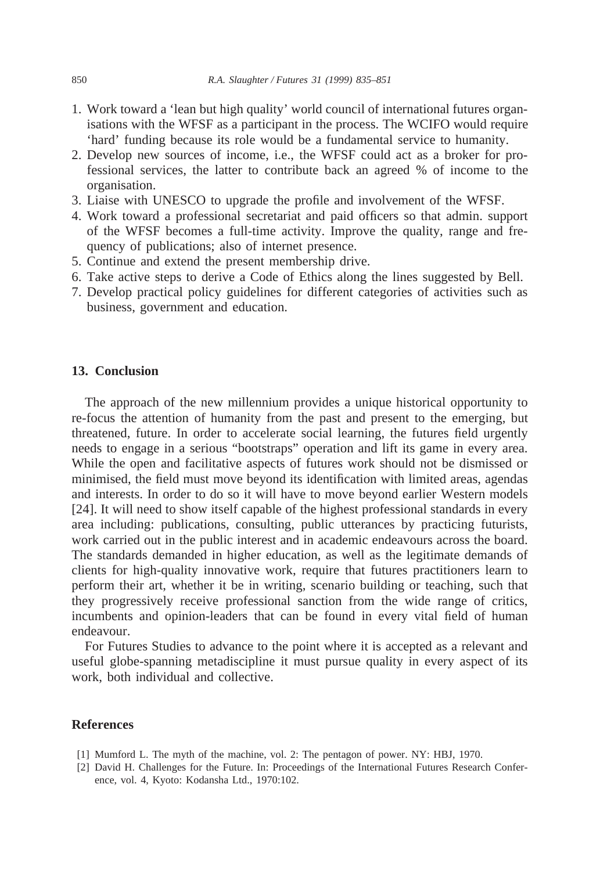- 1. Work toward a 'lean but high quality' world council of international futures organisations with the WFSF as a participant in the process. The WCIFO would require 'hard' funding because its role would be a fundamental service to humanity.
- 2. Develop new sources of income, i.e., the WFSF could act as a broker for professional services, the latter to contribute back an agreed % of income to the organisation.
- 3. Liaise with UNESCO to upgrade the profile and involvement of the WFSF.
- 4. Work toward a professional secretariat and paid officers so that admin. support of the WFSF becomes a full-time activity. Improve the quality, range and frequency of publications; also of internet presence.
- 5. Continue and extend the present membership drive.
- 6. Take active steps to derive a Code of Ethics along the lines suggested by Bell.
- 7. Develop practical policy guidelines for different categories of activities such as business, government and education.

#### **13. Conclusion**

The approach of the new millennium provides a unique historical opportunity to re-focus the attention of humanity from the past and present to the emerging, but threatened, future. In order to accelerate social learning, the futures field urgently needs to engage in a serious "bootstraps" operation and lift its game in every area. While the open and facilitative aspects of futures work should not be dismissed or minimised, the field must move beyond its identification with limited areas, agendas and interests. In order to do so it will have to move beyond earlier Western models [24]. It will need to show itself capable of the highest professional standards in every area including: publications, consulting, public utterances by practicing futurists, work carried out in the public interest and in academic endeavours across the board. The standards demanded in higher education, as well as the legitimate demands of clients for high-quality innovative work, require that futures practitioners learn to perform their art, whether it be in writing, scenario building or teaching, such that they progressively receive professional sanction from the wide range of critics, incumbents and opinion-leaders that can be found in every vital field of human endeavour.

For Futures Studies to advance to the point where it is accepted as a relevant and useful globe-spanning metadiscipline it must pursue quality in every aspect of its work, both individual and collective.

### **References**

- [1] Mumford L. The myth of the machine, vol. 2: The pentagon of power. NY: HBJ, 1970.
- [2] David H. Challenges for the Future. In: Proceedings of the International Futures Research Conference, vol. 4, Kyoto: Kodansha Ltd., 1970:102.